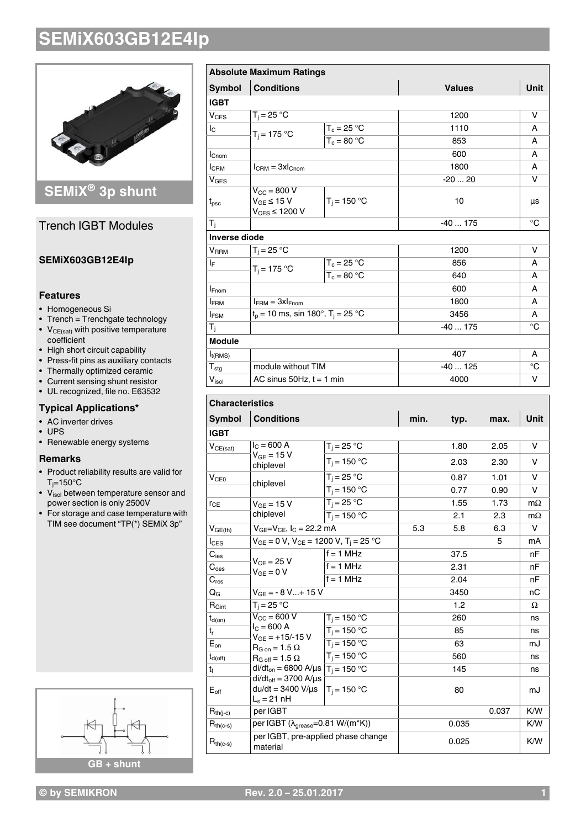

### **SEMiX® 3p shunt**

### Trench IGBT Modules

#### **SEMiX603GB12E4Ip**

#### **Features**

- Homogeneous Si
- Trench = Trenchgate technology •  $V_{CE(sat)}$  with positive temperature
- coefficient
- High short circuit capability
- Press-fit pins as auxiliary contacts • Thermally optimized ceramic
- Current sensing shunt resistor
- UL recognized, file no. E63532

### **Typical Applications\***

- AC inverter drives
- UPS
- Renewable energy systems

#### **Remarks**

- Product reliability results are valid for  $T_i = 150^\circ C$
- V<sub>isol</sub> between temperature sensor and power section is only 2500V
- For storage and case temperature with TIM see document "TP(\*) SEMiX 3p"



|                              | <b>Absolute Maximum Ratings</b>                                     |                |               |      |  |
|------------------------------|---------------------------------------------------------------------|----------------|---------------|------|--|
| <b>Symbol</b>                | <b>Conditions</b>                                                   |                | <b>Values</b> | Unit |  |
| <b>IGBT</b>                  |                                                                     |                |               |      |  |
| $V_{CFS}$                    | $T_i = 25 °C$                                                       |                | 1200          | v    |  |
| Ιc                           | $T_i = 175 °C$                                                      | $T_c = 25 °C$  | 1110          | A    |  |
|                              |                                                                     | $T_c = 80 °C$  | 853           | A    |  |
| $I_{\text{Cnom}}$            |                                                                     |                | 600           | A    |  |
| <b>I</b> CRM                 | $I_{\text{CRM}} = 3xI_{\text{Chom}}$                                |                | 1800          | A    |  |
| V <sub>GES</sub>             |                                                                     |                | $-2020$       | v    |  |
| $t_{\rm psc}$                | $V_{\text{CC}}$ = 800 V<br>$V_{GE}$ ≤ 15 V<br>$V_{CES} \leq 1200 V$ | $T_i = 150 °C$ | 10            | μs   |  |
| $T_i$                        |                                                                     |                | $-40175$      | °C   |  |
| <b>Inverse diode</b>         |                                                                     |                |               |      |  |
| <b>V</b> <sub>RRM</sub>      | $T_i = 25 °C$                                                       |                | 1200          | v    |  |
| ΙF                           | $T_i = 175 °C$                                                      | $T_c = 25 °C$  | 856           | A    |  |
|                              |                                                                     | $T_c = 80 °C$  | 640           | A    |  |
| $I_{Fnom}$                   |                                                                     |                | 600           | A    |  |
| <b>IFRM</b>                  | $I_{FRM} = 3xI_{Fnom}$                                              |                | 1800          | A    |  |
| $I_{FSM}$                    | $t_p = 10$ ms, sin 180°, $T_i = 25$ °C                              |                | 3456          | A    |  |
| $T_i$                        |                                                                     |                | $-40175$      | °C   |  |
| <b>Module</b>                |                                                                     |                |               |      |  |
| $I_{t(RMS)}$                 |                                                                     |                | 407           | A    |  |
| ${\sf T}_{\sf stg}$          | module without TIM                                                  |                | $-40125$      | °C   |  |
| $\mathsf{V}_{\mathsf{isol}}$ | AC sinus $50Hz$ , $t = 1$ min                                       |                | 4000          | v    |  |

### **Characteristics Characteristics**

| <b>Characteristics</b>        |                                                                             |                                                           |      |       |        |             |  |  |  |
|-------------------------------|-----------------------------------------------------------------------------|-----------------------------------------------------------|------|-------|--------|-------------|--|--|--|
| <b>Symbol</b>                 | <b>Conditions</b>                                                           |                                                           | min. | typ.  | max.   | <b>Unit</b> |  |  |  |
| <b>IGBT</b>                   |                                                                             |                                                           |      |       |        |             |  |  |  |
| $V_{CE(sat)}$                 | $I_{C}$ = 600 A<br>$V_{GF} = 15 V$<br>chiplevel                             | $T_i = 25 °C$                                             |      | 1.80  | 2.05   | v           |  |  |  |
|                               |                                                                             | $T_i = 150 °C$                                            |      | 2.03  | 2.30   | v           |  |  |  |
| V <sub>CE0</sub><br>chiplevel | $T_i = 25 °C$                                                               |                                                           | 0.87 | 1.01  | $\vee$ |             |  |  |  |
|                               |                                                                             | $T_i = 150 °C$                                            |      | 0.77  | 0.90   | v           |  |  |  |
| $r_{CE}$                      | $V_{GF}$ = 15 V                                                             | $T_i = 25 °C$                                             |      | 1.55  | 1.73   | $m\Omega$   |  |  |  |
|                               | chiplevel                                                                   | $T_i = 150 °C$                                            |      | 2.1   | 2.3    | $m\Omega$   |  |  |  |
| $V_{GE(th)}$                  | $V_{GE}=V_{CE}$ , $I_C = 22.2$ mA                                           |                                                           | 5.3  | 5.8   | 6.3    | V           |  |  |  |
| $I_{CES}$                     | $V_{GE} = 0 V$ , $V_{CE} = 1200 V$ , $T_i = 25 °C$                          |                                                           |      | 5     | mA     |             |  |  |  |
| $C_{\sf ies}$                 | $V_{CF}$ = 25 V<br>$V_{GF} = 0 V$                                           | $f = 1$ MHz                                               |      | 37.5  |        | nF          |  |  |  |
| $\mathbf{C}_{\text{oes}}$     |                                                                             | $f = 1$ MHz                                               |      | 2.31  |        | nF          |  |  |  |
| $C_{res}$                     |                                                                             | $f = 1$ MHz                                               |      | 2.04  |        | nF          |  |  |  |
| $Q_{\rm G}$                   | $V_{GF} = -8 V + 15 V$                                                      |                                                           |      | 3450  |        | nС          |  |  |  |
| $R_{Gint}$                    | $T_i = 25 °C$                                                               |                                                           |      | 1.2   |        | Ω           |  |  |  |
| $t_{d(on)}$                   | $V_{\text{CC}}$ = 600 V                                                     | $T_i = 150 °C$                                            |      | 260   |        | ns          |  |  |  |
| $t_{r}$                       | $I_C = 600 A$<br>$V_{GE}$ = +15/-15 V                                       | $T_i = 150 °C$                                            |      | 85    |        | ns          |  |  |  |
| $E_{on}$                      | $R_{G \text{ on}} = 1.5 \Omega$                                             | $T_i = 150 °C$                                            |      | 63    |        | mJ          |  |  |  |
| $t_{d(off)}$                  | $R_{G \text{ off}} = 1.5 \Omega$                                            | $T_i = 150 °C$                                            |      | 560   |        | ns          |  |  |  |
| t                             | di/dt <sub>on</sub> = 6800 A/µs $T_i$ = 150 °C                              |                                                           |      | 145   |        | ns          |  |  |  |
| $E_{\text{off}}$              | $di/dt_{off} = 3700$ A/ $\mu$ s<br>$du/dt = 3400 V/ \mu s$<br>$L_s = 21$ nH | $T_i = 150 °C$                                            |      | 80    |        | mJ          |  |  |  |
| $R_{th(j-c)}$                 | per IGBT                                                                    |                                                           |      |       | 0.037  | K/W         |  |  |  |
| $R_{th(c-s)}$                 |                                                                             | per IGBT $(\lambda_{\text{grease}}=0.81 \text{ W/(m*K)})$ |      | 0.035 |        | K/W         |  |  |  |
| $R_{th(c-s)}$                 | per IGBT, pre-applied phase change<br>material                              |                                                           |      | 0.025 |        | K/W         |  |  |  |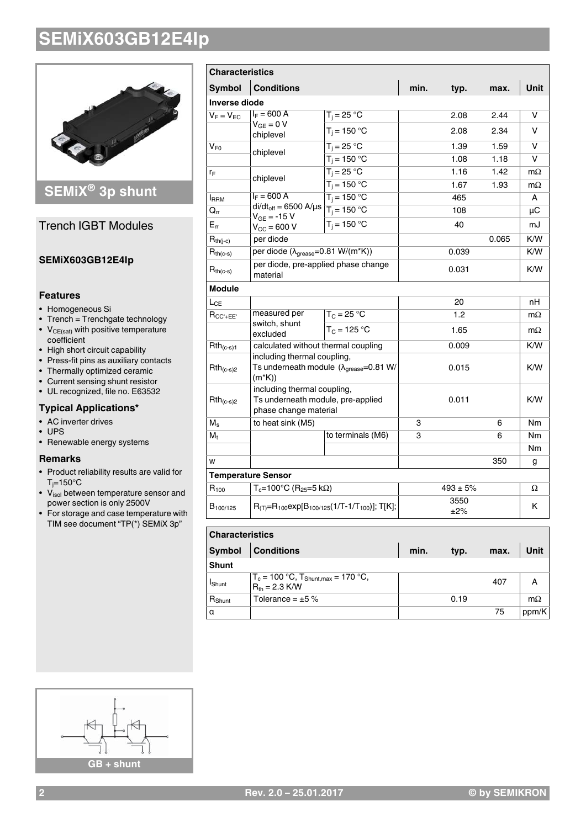

### **SEMiX® 3p shunt**

### Trench IGBT Modules

#### **SEMiX603GB12E4Ip**

#### **Features**

- Homogeneous Si
- Trench = Trenchgate technology •  $V_{CE(sat)}$  with positive temperature
- coefficient
- High short circuit capability • Press-fit pins as auxiliary contacts
- Thermally optimized ceramic
- Current sensing shunt resistor
- UL recognized, file no. E63532

### **Typical Applications\***

- AC inverter drives
- UPS
- Renewable energy systems

#### **Remarks**

- Product reliability results are valid for  $T_i = 150^\circ C$
- V<sub>isol</sub> between temperature sensor and power section is only 2500V
- For storage and case temperature with TIM see document "TP(\*) SEMiX 3p"

| <b>Characteristics</b>     |                                                                                                              |                          |       |              |       |           |
|----------------------------|--------------------------------------------------------------------------------------------------------------|--------------------------|-------|--------------|-------|-----------|
| Symbol                     | <b>Conditions</b>                                                                                            |                          | min.  | typ.         | max.  | Unit      |
| <b>Inverse diode</b>       |                                                                                                              |                          |       |              |       |           |
| $V_F = V_{EC}$             | $I_F = 600 A$                                                                                                | $T_j = 25 \overline{°C}$ |       | 2.08         | 2.44  | v         |
|                            | $V_{GE} = 0 V$<br>chiplevel                                                                                  | $T_i = 150 °C$           |       | 2.08         | 2.34  | v         |
| $\mathsf{V}_{\mathsf{F0}}$ |                                                                                                              | $T_i = 25 °C$            |       | 1.39         | 1.59  | v         |
|                            | chiplevel                                                                                                    | $T_i = 150 °C$           |       | 1.08         | 1.18  | v         |
| ľF                         | chiplevel                                                                                                    | $T_i = 25 °C$            |       | 1.16         | 1.42  | $m\Omega$ |
|                            |                                                                                                              | $T_i = 150 °C$           |       | 1.67         | 1.93  | $m\Omega$ |
| <b>I</b> RRM               | $I_F = 600 A$                                                                                                | $T_i = 150 °C$           |       | 465          |       | A         |
| $\mathsf{Q}_{\mathsf{rr}}$ | $di/dt_{off} = 6500$ A/µs $\boxed{T_j = 150$ °C<br>$V_{GE} = -15 V$                                          |                          |       | 108          |       | μC        |
| $E_{rr}$                   | $V_{\text{CC}} = 600 V$                                                                                      | $T_i = 150 °C$           |       | 40           |       | mJ        |
| $R_{th(j-c)}$              | per diode                                                                                                    |                          |       |              | 0.065 | K/W       |
| $R_{th(c-s)}$              | per diode ( $\lambda_{\text{grease}} = 0.81 \text{ W/(m*K)})$                                                |                          |       | 0.039        |       | K/W       |
| $R_{th(c-s)}$              | per diode, pre-applied phase change<br>material                                                              |                          | 0.031 |              | K/W   |           |
| <b>Module</b>              |                                                                                                              |                          |       |              |       |           |
| L <sub>CE</sub>            |                                                                                                              |                          |       | 20           |       | nH        |
| $R_{CC'+EE'}$              | measured per                                                                                                 | $T_C = 25 °C$            |       | 1.2          |       | $m\Omega$ |
|                            | switch, shunt<br>excluded                                                                                    | $T_C = 125 °C$           |       | 1.65         |       | $m\Omega$ |
| $Rth_{(c-s)1}$             | calculated without thermal coupling                                                                          |                          |       | 0.009        |       | K/W       |
| $Rth_{(c-s)2}$             | including thermal coupling,<br>Ts underneath module $(\lambda_{\text{grease}} = 0.81 \text{ W})$<br>$(m*K))$ |                          |       | 0.015        |       | K/W       |
| $Rth_{(c-s)2}$             | including thermal coupling,<br>Ts underneath module, pre-applied<br>phase change material                    |                          |       | 0.011        |       | K/W       |
| $M_{\rm s}$                | to heat sink (M5)                                                                                            |                          | 3     |              | 6     | Nm        |
| M,                         |                                                                                                              | to terminals (M6)        | 3     |              | 6     | Nm        |
|                            |                                                                                                              |                          |       |              |       | Nm        |
| W                          |                                                                                                              |                          |       |              | 350   | g         |
|                            | <b>Temperature Sensor</b>                                                                                    |                          |       |              |       |           |
| $R_{100}$                  | $T_c = 100^{\circ}C$ (R <sub>25</sub> =5 kΩ)                                                                 |                          |       | $493 \pm 5%$ |       | Ω         |
| B <sub>100/125</sub>       | $R_{(T)}=R_{100}exp[B_{100/125}(1/T-1/T_{100})];$ T[K];                                                      |                          |       | 3550<br>±2%  |       | Κ         |

| <b>Characteristics</b> |                                                                   |      |      |      |             |  |
|------------------------|-------------------------------------------------------------------|------|------|------|-------------|--|
| Symbol                 | <b>Conditions</b>                                                 | min. | typ. | max. | <b>Unit</b> |  |
| <b>Shunt</b>           |                                                                   |      |      |      |             |  |
| Ishunt                 | $T_c = 100 °C$ , $T_{Shunt,max} = 170 °C$ ,<br>$R_{th} = 2.3$ K/W |      |      | 407  |             |  |
| R <sub>Shunt</sub>     | Tolerance = $\pm 5 \%$                                            |      | 0.19 |      | $m\Omega$   |  |
| Iα                     |                                                                   |      |      | 75   | ppm/K       |  |

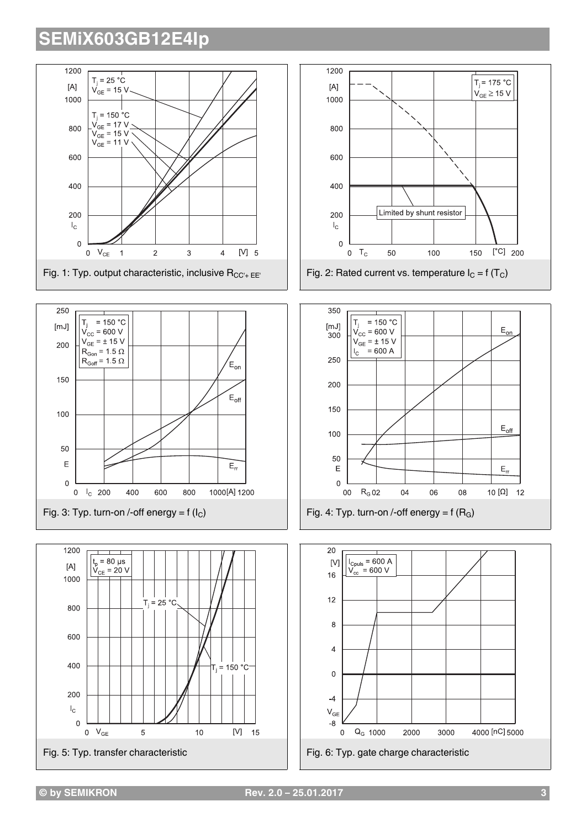







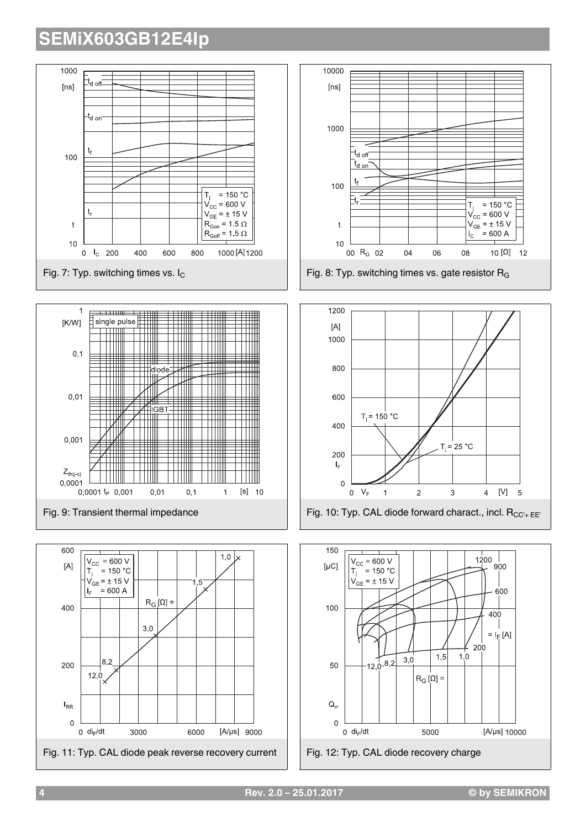

**4 Rev. 2.0 – 25.01.2017 © by SEMIKRON**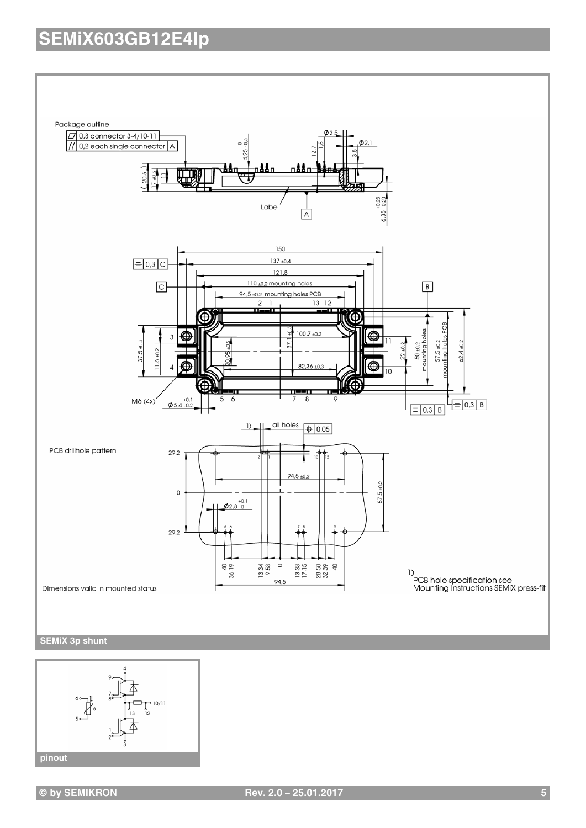



**© by SEMIKRON Rev. 2.0 – 25.01.2017 5**